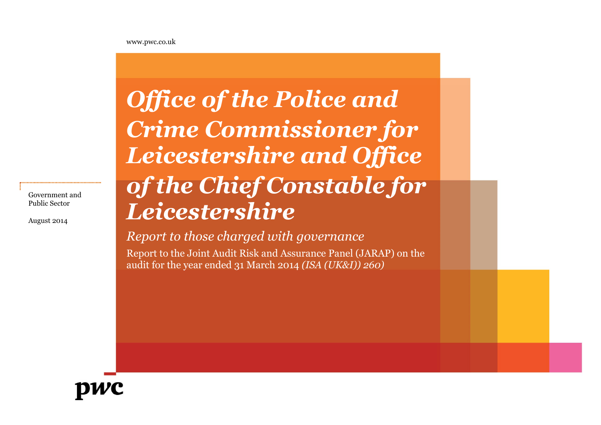www.pwc.co.uk

# *Office of the Police and Crime Commissioner for Leicestershire and Office of the Chief Constable for Leicestershire*

## *Report to those charged with governance*

Report to the Joint Audit Risk and Assurance Panel (JARAP) on the audit for the year ended 31 March 2014 *(ISA (UK&I)) 260)*



Government and Public Sector

August 2014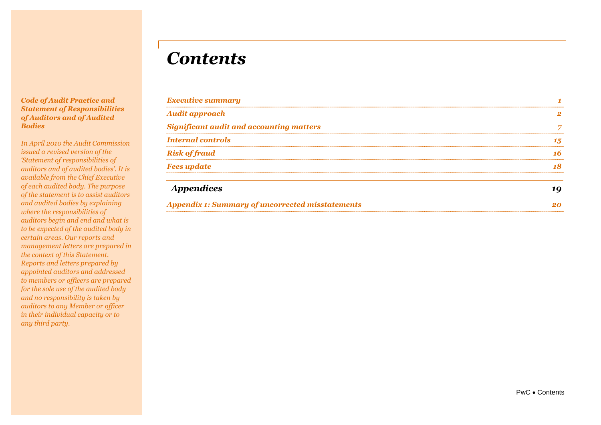## *Contents*

#### *Code of Audit Practice and Statement of Responsibilities of Auditors and of Audited Bodies*

*In April 2010 the Audit Commission issued a revised version of the 'Statement of responsibilities of auditors and of audited bodies'. It is available from the Chief Executive of each audited body. The purpose of the statement is to assist auditors and audited bodies by explaining where the responsibilities of auditors begin and end and what is to be expected of the audited body in certain areas. Our reports and management letters are prepared in the context of this Statement. Reports and letters prepared by appointed auditors and addressed to members or officers are prepared for the sole use of the audited body and no responsibility is taken by auditors to any Member or officer in their individual capacity or to any third party.*

| <b>Executive summary</b>                        |    |
|-------------------------------------------------|----|
| <b>Audit approach</b>                           |    |
| <b>Significant audit and accounting matters</b> |    |
| <b>Internal controls</b>                        | 15 |
| <b>Risk of fraud</b>                            |    |
| <b>Fees update</b>                              |    |
|                                                 |    |

| <i><b>Appendices</b></i>                         |  |
|--------------------------------------------------|--|
| Appendix 1: Summary of uncorrected misstatements |  |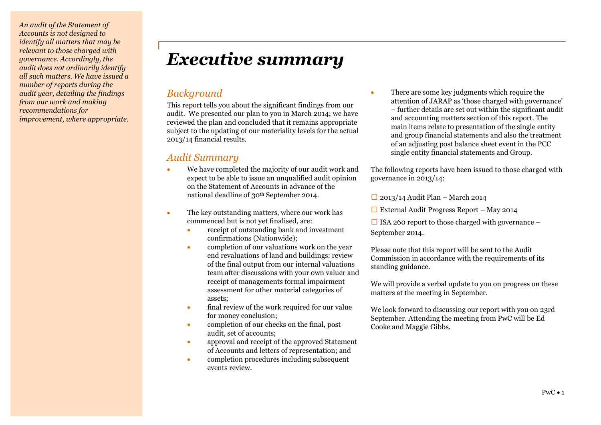*An audit of the Statement of Accounts is not designed to identify all matters that may be relevant to those charged with governance. Accordingly, the audit does not ordinarily identify all such matters. We have issued a number of reports during the audit year, detailing the findings from our work and making recommendations for improvement, where appropriate.*

## *Executive summary*

## *Background*

This report tells you about the significant findings from our audit. We presented our plan to you in March 2014; we have reviewed the plan and concluded that it remains appropriate subject to the updating of our materiality levels for the actual 2013/14 financial results.

## *Audit Summary*

- We have completed the majority of our audit work and expect to be able to issue an unqualified audit opinion on the Statement of Accounts in advance of the national deadline of 30<sup>th</sup> September 2014.
- The key outstanding matters, where our work has commenced but is not yet finalised, are:
	- receipt of outstanding bank and investment confirmations (Nationwide);
	- completion of our valuations work on the year end revaluations of land and buildings: review of the final output from our internal valuations team after discussions with your own valuer and receipt of managements formal impairment assessment for other material categories of assets;
	- final review of the work required for our value for money conclusion;
	- completion of our checks on the final, post audit, set of accounts;
	- approval and receipt of the approved Statement of Accounts and letters of representation; and
	- completion procedures including subsequent events review.

 There are some key judgments which require the attention of JARAP as 'those charged with governance' – further details are set out within the significant audit and accounting matters section of this report. The main items relate to presentation of the single entity and group financial statements and also the treatment of an adjusting post balance sheet event in the PCC single entity financial statements and Group.

The following reports have been issued to those charged with governance in 2013/14:

 $\Box$  2013/14 Audit Plan – March 2014

 $\Box$  External Audit Progress Report – May 2014

 $\Box$  ISA 260 report to those charged with governance – September 2014.

Please note that this report will be sent to the Audit Commission in accordance with the requirements of its standing guidance.

We will provide a verbal update to you on progress on these matters at the meeting in September.

We look forward to discussing our report with you on 23rd September. Attending the meeting from PwC will be Ed Cooke and Maggie Gibbs.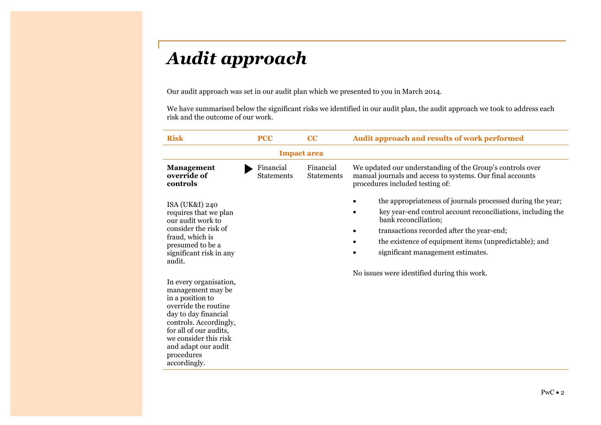## *Audit approach*

Our audit approach was set in our audit plan which we presented to you in March 2014.

We have summarised below the significant risks we identified in our audit plan, the audit approach we took to address each risk and the outcome of our work.

| <b>Risk</b>                                                                                                                                                                                                                                       | <b>PCC</b>                     | cc                             | Audit approach and results of work performed                                                                                                                                                                                                                                                 |
|---------------------------------------------------------------------------------------------------------------------------------------------------------------------------------------------------------------------------------------------------|--------------------------------|--------------------------------|----------------------------------------------------------------------------------------------------------------------------------------------------------------------------------------------------------------------------------------------------------------------------------------------|
| <b>Impact area</b>                                                                                                                                                                                                                                |                                |                                |                                                                                                                                                                                                                                                                                              |
| <b>Management</b><br>override of<br>controls                                                                                                                                                                                                      | Financial<br><b>Statements</b> | Financial<br><b>Statements</b> | We updated our understanding of the Group's controls over<br>manual journals and access to systems. Our final accounts<br>procedures included testing of:                                                                                                                                    |
| ISA (UK&I) 240<br>requires that we plan<br>our audit work to<br>consider the risk of<br>fraud, which is<br>presumed to be a<br>significant risk in any<br>audit.                                                                                  |                                |                                | the appropriateness of journals processed during the year;<br>key year-end control account reconciliations, including the<br>bank reconciliation;<br>transactions recorded after the year-end;<br>the existence of equipment items (unpredictable); and<br>significant management estimates. |
| In every organisation,<br>management may be<br>in a position to<br>override the routine<br>day to day financial<br>controls. Accordingly,<br>for all of our audits,<br>we consider this risk<br>and adapt our audit<br>procedures<br>accordingly. |                                |                                | No issues were identified during this work.                                                                                                                                                                                                                                                  |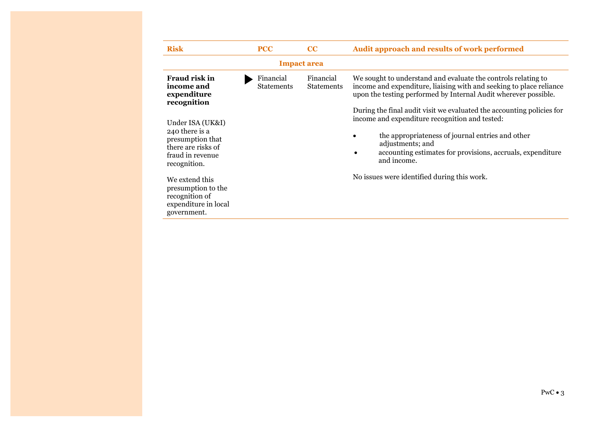| <b>Risk</b>                                                                                                      | <b>PCC</b>              | $\bf CC$                       | Audit approach and results of work performed                                                                                                                                                                                                                                     |  |
|------------------------------------------------------------------------------------------------------------------|-------------------------|--------------------------------|----------------------------------------------------------------------------------------------------------------------------------------------------------------------------------------------------------------------------------------------------------------------------------|--|
| <b>Impact area</b>                                                                                               |                         |                                |                                                                                                                                                                                                                                                                                  |  |
| <b>Fraud risk in</b><br>income and<br>expenditure<br>recognition                                                 | Financial<br>Statements | Financial<br><b>Statements</b> | We sought to understand and evaluate the controls relating to<br>income and expenditure, liaising with and seeking to place reliance<br>upon the testing performed by Internal Audit wherever possible.<br>During the final audit visit we evaluated the accounting policies for |  |
| Under ISA (UK&I)<br>240 there is a<br>presumption that<br>there are risks of<br>fraud in revenue<br>recognition. |                         |                                | income and expenditure recognition and tested:<br>the appropriateness of journal entries and other<br>adjustments; and<br>accounting estimates for provisions, accruals, expenditure<br>and income.                                                                              |  |
| We extend this<br>presumption to the<br>recognition of<br>expenditure in local<br>government.                    |                         |                                | No issues were identified during this work.                                                                                                                                                                                                                                      |  |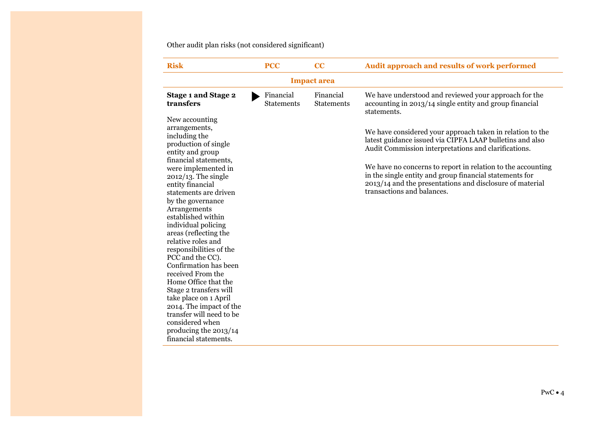Other audit plan risks (not considered significant)

| <b>PCC</b>                     | CC                             | Audit approach and results of work performed                                                                                                                                                                                                                                                                                                                                                                                                                                                                                         |  |  |
|--------------------------------|--------------------------------|--------------------------------------------------------------------------------------------------------------------------------------------------------------------------------------------------------------------------------------------------------------------------------------------------------------------------------------------------------------------------------------------------------------------------------------------------------------------------------------------------------------------------------------|--|--|
| <b>Impact area</b>             |                                |                                                                                                                                                                                                                                                                                                                                                                                                                                                                                                                                      |  |  |
| Financial<br><b>Statements</b> | Financial<br><b>Statements</b> | We have understood and reviewed your approach for the<br>accounting in 2013/14 single entity and group financial<br>statements.<br>We have considered your approach taken in relation to the<br>latest guidance issued via CIPFA LAAP bulletins and also<br>Audit Commission interpretations and clarifications.<br>We have no concerns to report in relation to the accounting<br>in the single entity and group financial statements for<br>2013/14 and the presentations and disclosure of material<br>transactions and balances. |  |  |
|                                |                                |                                                                                                                                                                                                                                                                                                                                                                                                                                                                                                                                      |  |  |
|                                |                                |                                                                                                                                                                                                                                                                                                                                                                                                                                                                                                                                      |  |  |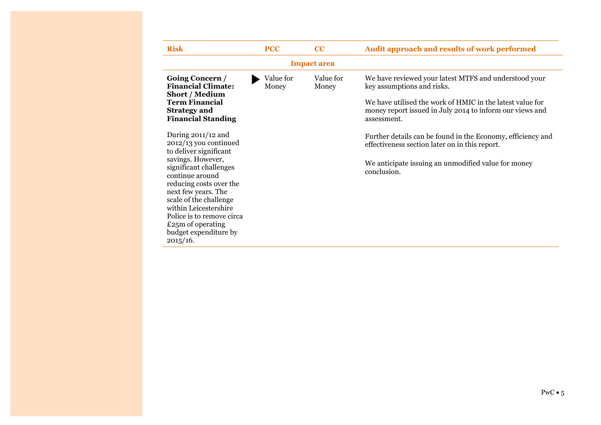| <b>Risk</b>                                                                                                                                                                                                                                                                                                                              | <b>PCC</b>         | CC                 | Audit approach and results of work performed                                                                                                                                                                                |
|------------------------------------------------------------------------------------------------------------------------------------------------------------------------------------------------------------------------------------------------------------------------------------------------------------------------------------------|--------------------|--------------------|-----------------------------------------------------------------------------------------------------------------------------------------------------------------------------------------------------------------------------|
|                                                                                                                                                                                                                                                                                                                                          |                    | <b>Impact area</b> |                                                                                                                                                                                                                             |
| Going Concern /<br><b>Financial Climate:</b><br><b>Short / Medium</b><br><b>Term Financial</b><br><b>Strategy and</b><br><b>Financial Standing</b>                                                                                                                                                                                       | Value for<br>Money | Value for<br>Money | We have reviewed your latest MTFS and understood your<br>key assumptions and risks.<br>We have utilised the work of HMIC in the latest value for<br>money report issued in July 2014 to inform our views and<br>assessment. |
| During $2011/12$ and<br>2012/13 you continued<br>to deliver significant<br>savings. However,<br>significant challenges<br>continue around<br>reducing costs over the<br>next few years. The<br>scale of the challenge<br>within Leicestershire<br>Police is to remove circa<br>£25 $m$ of operating<br>budget expenditure by<br>2015/16. |                    |                    | Further details can be found in the Economy, efficiency and<br>effectiveness section later on in this report.<br>We anticipate issuing an unmodified value for money<br>conclusion.                                         |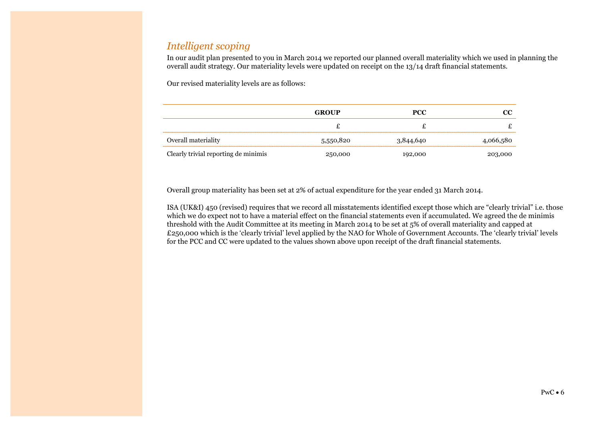## *Intelligent scoping*

In our audit plan presented to you in March 2014 we reported our planned overall materiality which we used in planning the overall audit strategy. Our materiality levels were updated on receipt on the 13/14 draft financial statements.

Our revised materiality levels are as follows:

|                                      | <b>GROUP</b> | <b>PCC</b> |           |
|--------------------------------------|--------------|------------|-----------|
|                                      |              |            |           |
| Overall materiality                  | 5,550,820    | 3,844,640  | 4,066,580 |
| Clearly trivial reporting de minimis | 250,000      | 192,000    | 203,000   |

Overall group materiality has been set at 2% of actual expenditure for the year ended 31 March 2014.

ISA (UK&I) 450 (revised) requires that we record all misstatements identified except those which are "clearly trivial" i.e. those which we do expect not to have a material effect on the financial statements even if accumulated. We agreed the de minimis threshold with the Audit Committee at its meeting in March 2014 to be set at 5% of overall materiality and capped at £250,000 which is the 'clearly trivial' level applied by the NAO for Whole of Government Accounts. The 'clearly trivial' levels for the PCC and CC were updated to the values shown above upon receipt of the draft financial statements.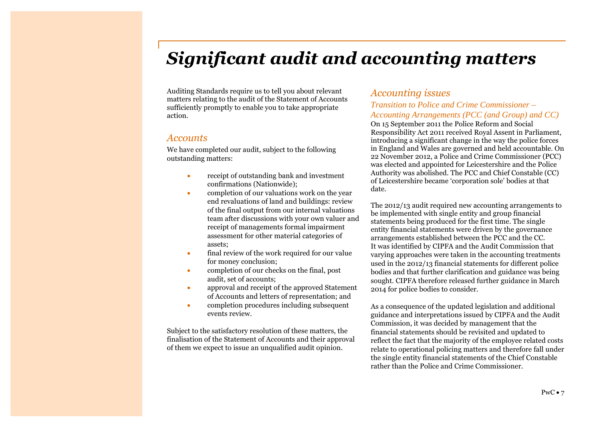## *Significant audit and accounting matters*

Auditing Standards require us to tell you about relevant matters relating to the audit of the Statement of Accounts sufficiently promptly to enable you to take appropriate action.

#### *Accounts*

We have completed our audit, subject to the following outstanding matters:

- receipt of outstanding bank and investment confirmations (Nationwide);
- completion of our valuations work on the year end revaluations of land and buildings: review of the final output from our internal valuations team after discussions with your own valuer and receipt of managements formal impairment assessment for other material categories of assets;
- final review of the work required for our value for money conclusion;
- completion of our checks on the final, post audit, set of accounts;
- approval and receipt of the approved Statement of Accounts and letters of representation; and
- completion procedures including subsequent events review.

Subject to the satisfactory resolution of these matters, the finalisation of the Statement of Accounts and their approval of them we expect to issue an unqualified audit opinion.

### *Accounting issues*

#### *Transition to Police and Crime Commissioner – Accounting Arrangements (PCC (and Group) and CC)*

On 15 September 2011 the Police Reform and Social Responsibility Act 2011 received Royal Assent in Parliament, introducing a significant change in the way the police forces in England and Wales are governed and held accountable. On 22 November 2012, a Police and Crime Commissioner (PCC) was elected and appointed for Leicestershire and the Police Authority was abolished. The PCC and Chief Constable (CC) of Leicestershire became 'corporation sole' bodies at that date.

The 2012/13 audit required new accounting arrangements to be implemented with single entity and group financial statements being produced for the first time. The single entity financial statements were driven by the governance arrangements established between the PCC and the CC. It was identified by CIPFA and the Audit Commission that varying approaches were taken in the accounting treatments used in the 2012/13 financial statements for different police bodies and that further clarification and guidance was being sought. CIPFA therefore released further guidance in March 2014 for police bodies to consider.

As a consequence of the updated legislation and additional guidance and interpretations issued by CIPFA and the Audit Commission, it was decided by management that the financial statements should be revisited and updated to reflect the fact that the majority of the employee related costs relate to operational policing matters and therefore fall under the single entity financial statements of the Chief Constable rather than the Police and Crime Commissioner.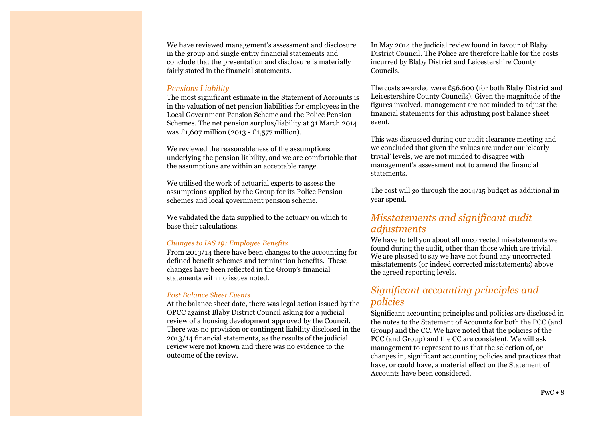We have reviewed management's assessment and disclosure in the group and single entity financial statements and conclude that the presentation and disclosure is materially fairly stated in the financial statements.

#### *Pensions Liability*

The most significant estimate in the Statement of Accounts is in the valuation of net pension liabilities for employees in the Local Government Pension Scheme and the Police Pension Schemes. The net pension surplus/liability at 31 March 2014 was £1,607 million (2013 - £1,577 million).

We reviewed the reasonableness of the assumptions underlying the pension liability, and we are comfortable that the assumptions are within an acceptable range.

We utilised the work of actuarial experts to assess the assumptions applied by the Group for its Police Pension schemes and local government pension scheme.

We validated the data supplied to the actuary on which to base their calculations.

#### *Changes to IAS 19: Employee Benefits*

From 2013/14 there have been changes to the accounting for defined benefit schemes and termination benefits. These changes have been reflected in the Group's financial statements with no issues noted.

#### *Post Balance Sheet Events*

At the balance sheet date, there was legal action issued by the OPCC against Blaby District Council asking for a judicial review of a housing development approved by the Council. There was no provision or contingent liability disclosed in the 2013/14 financial statements, as the results of the judicial review were not known and there was no evidence to the outcome of the review.

In May 2014 the judicial review found in favour of Blaby District Council. The Police are therefore liable for the costs incurred by Blaby District and Leicestershire County Councils.

The costs awarded were £56,600 (for both Blaby District and Leicestershire County Councils). Given the magnitude of the figures involved, management are not minded to adjust the financial statements for this adjusting post balance sheet event.

This was discussed during our audit clearance meeting and we concluded that given the values are under our 'clearly trivial' levels, we are not minded to disagree with management's assessment not to amend the financial statements.

The cost will go through the 2014/15 budget as additional in year spend.

## *Misstatements and significant audit adjustments*

We have to tell you about all uncorrected misstatements we found during the audit, other than those which are trivial. We are pleased to say we have not found any uncorrected misstatements (or indeed corrected misstatements) above the agreed reporting levels.

### *Significant accounting principles and policies*

Significant accounting principles and policies are disclosed in the notes to the Statement of Accounts for both the PCC (and Group) and the CC. We have noted that the policies of the PCC (and Group) and the CC are consistent. We will ask management to represent to us that the selection of, or changes in, significant accounting policies and practices that have, or could have, a material effect on the Statement of Accounts have been considered.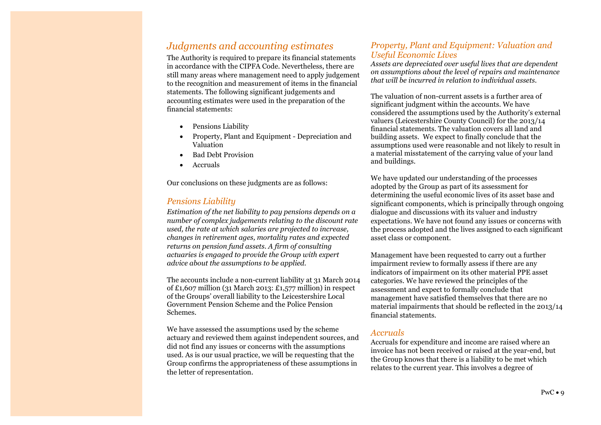## *Judgments and accounting estimates*

The Authority is required to prepare its financial statements in accordance with the CIPFA Code. Nevertheless, there are still many areas where management need to apply judgement to the recognition and measurement of items in the financial statements. The following significant judgements and accounting estimates were used in the preparation of the financial statements:

- Pensions Liability
- Property, Plant and Equipment Depreciation and Valuation
- Bad Debt Provision
- Accruals

Our conclusions on these judgments are as follows:

#### *Pensions Liability*

*Estimation of the net liability to pay pensions depends on a number of complex judgements relating to the discount rate used, the rate at which salaries are projected to increase, changes in retirement ages, mortality rates and expected returns on pension fund assets. A firm of consulting actuaries is engaged to provide the Group with expert advice about the assumptions to be applied.*

The accounts include a non-current liability at 31 March 2014 of £1,607 million (31 March 2013: £1,577 million) in respect of the Groups' overall liability to the Leicestershire Local Government Pension Scheme and the Police Pension Schemes.

We have assessed the assumptions used by the scheme actuary and reviewed them against independent sources, and did not find any issues or concerns with the assumptions used. As is our usual practice, we will be requesting that the Group confirms the appropriateness of these assumptions in the letter of representation.

#### *Property, Plant and Equipment: Valuation and Useful Economic Lives*

*Assets are depreciated over useful lives that are dependent on assumptions about the level of repairs and maintenance that will be incurred in relation to individual assets.*

The valuation of non-current assets is a further area of significant judgment within the accounts. We have considered the assumptions used by the Authority's external valuers (Leicestershire County Council) for the 2013/14 financial statements. The valuation covers all land and building assets. We expect to finally conclude that the assumptions used were reasonable and not likely to result in a material misstatement of the carrying value of your land and buildings.

We have updated our understanding of the processes adopted by the Group as part of its assessment for determining the useful economic lives of its asset base and significant components, which is principally through ongoing dialogue and discussions with its valuer and industry expectations. We have not found any issues or concerns with the process adopted and the lives assigned to each significant asset class or component.

Management have been requested to carry out a further impairment review to formally assess if there are any indicators of impairment on its other material PPE asset categories. We have reviewed the principles of the assessment and expect to formally conclude that management have satisfied themselves that there are no material impairments that should be reflected in the 2013/14 financial statements.

#### *Accruals*

Accruals for expenditure and income are raised where an invoice has not been received or raised at the year-end, but the Group knows that there is a liability to be met which relates to the current year. This involves a degree of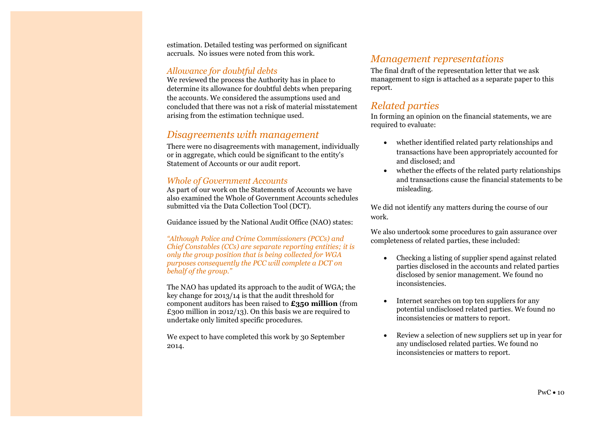estimation. Detailed testing was performed on significant accruals. No issues were noted from this work.

#### *Allowance for doubtful debts*

We reviewed the process the Authority has in place to determine its allowance for doubtful debts when preparing the accounts. We considered the assumptions used and concluded that there was not a risk of material misstatement arising from the estimation technique used.

### *Disagreements with management*

There were no disagreements with management, individually or in aggregate, which could be significant to the entity's Statement of Accounts or our audit report.

#### *Whole of Government Accounts*

As part of our work on the Statements of Accounts we have also examined the Whole of Government Accounts schedules submitted via the Data Collection Tool (DCT).

Guidance issued by the National Audit Office (NAO) states:

*"Although Police and Crime Commissioners (PCCs) and Chief Constables (CCs) are separate reporting entities; it is only the group position that is being collected for WGA purposes consequently the PCC will complete a DCT on behalf of the group."*

The NAO has updated its approach to the audit of WGA; the key change for 2013/14 is that the audit threshold for component auditors has been raised to **£350 million** (from £300 million in 2012/13). On this basis we are required to undertake only limited specific procedures.

We expect to have completed this work by 30 September 2014.

### *Management representations*

The final draft of the representation letter that we ask management to sign is attached as a separate paper to this report.

### *Related parties*

In forming an opinion on the financial statements, we are required to evaluate:

- whether identified related party relationships and transactions have been appropriately accounted for and disclosed; and
- whether the effects of the related party relationships and transactions cause the financial statements to be misleading.

We did not identify any matters during the course of our work.

We also undertook some procedures to gain assurance over completeness of related parties, these included:

- Checking a listing of supplier spend against related parties disclosed in the accounts and related parties disclosed by senior management. We found no inconsistencies.
- Internet searches on top ten suppliers for any potential undisclosed related parties. We found no inconsistencies or matters to report.
- Review a selection of new suppliers set up in year for any undisclosed related parties. We found no inconsistencies or matters to report.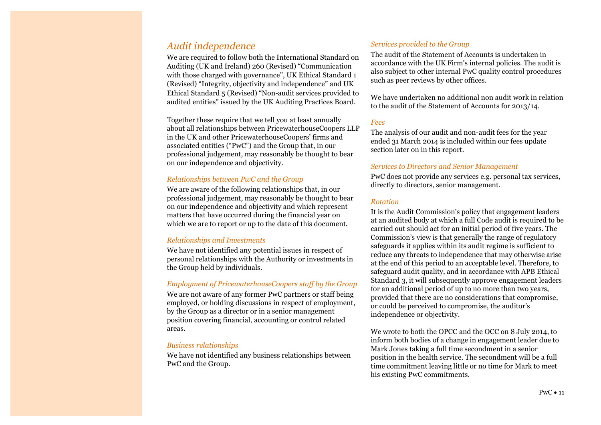## *Audit independence*

We are required to follow both the International Standard on Auditing (UK and Ireland) 260 (Revised) "Communication with those charged with governance", UK Ethical Standard 1 (Revised) "Integrity, objectivity and independence" and UK Ethical Standard 5 (Revised) "Non-audit services provided to audited entities" issued by the UK Auditing Practices Board.

Together these require that we tell you at least annually about all relationships between PricewaterhouseCoopers LLP in the UK and other PricewaterhouseCoopers' firms and associated entities ("PwC") and the Group that, in our professional judgement, may reasonably be thought to bear on our independence and objectivity.

#### *Relationships between PwC and the Group*

We are aware of the following relationships that, in our professional judgement, may reasonably be thought to bear on our independence and objectivity and which represent matters that have occurred during the financial year on which we are to report or up to the date of this document.

#### *Relationships and Investments*

We have not identified any potential issues in respect of personal relationships with the Authority or investments in the Group held by individuals.

#### *Employment of PricewaterhouseCoopers staff by the Group*

We are not aware of any former PwC partners or staff being employed, or holding discussions in respect of employment, by the Group as a director or in a senior management position covering financial, accounting or control related areas.

#### *Business relationships*

We have not identified any business relationships between PwC and the Group.

#### *Services provided to the Group*

The audit of the Statement of Accounts is undertaken in accordance with the UK Firm's internal policies. The audit is also subject to other internal PwC quality control procedures such as peer reviews by other offices.

We have undertaken no additional non audit work in relation to the audit of the Statement of Accounts for 2013/14.

#### *Fees*

The analysis of our audit and non-audit fees for the year ended 31 March 2014 is included within our fees update section later on in this report.

#### *Services to Directors and Senior Management*

PwC does not provide any services e.g. personal tax services, directly to directors, senior management.

#### *Rotation*

It is the Audit Commission's policy that engagement leaders at an audited body at which a full Code audit is required to be carried out should act for an initial period of five years. The Commission's view is that generally the range of regulatory safeguards it applies within its audit regime is sufficient to reduce any threats to independence that may otherwise arise at the end of this period to an acceptable level. Therefore, to safeguard audit quality, and in accordance with APB Ethical Standard 3, it will subsequently approve engagement leaders for an additional period of up to no more than two years, provided that there are no considerations that compromise, or could be perceived to compromise, the auditor's independence or objectivity.

We wrote to both the OPCC and the OCC on 8 July 2014, to inform both bodies of a change in engagement leader due to Mark Jones taking a full time secondment in a senior position in the health service. The secondment will be a full time commitment leaving little or no time for Mark to meet his existing PwC commitments.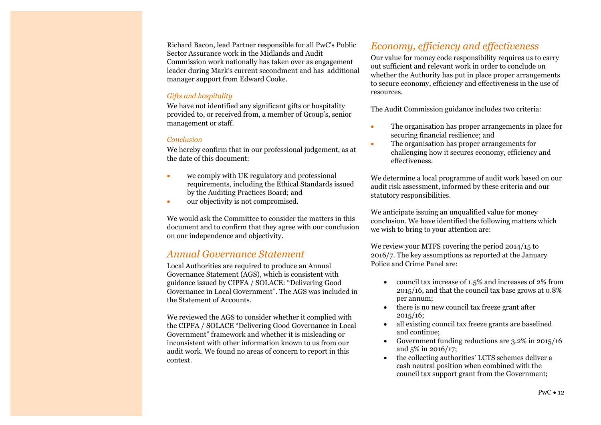Richard Bacon, lead Partner responsible for all PwC's Public Sector Assurance work in the Midlands and Audit Commission work nationally has taken over as engagement leader during Mark's current secondment and has additional manager support from Edward Cooke.

#### *Gifts and hospitality*

We have not identified any significant gifts or hospitality provided to, or received from, a member of Group's, senior management or staff.

#### *Conclusion*

We hereby confirm that in our professional judgement, as at the date of this document:

- we comply with UK regulatory and professional requirements, including the Ethical Standards issued by the Auditing Practices Board; and
- our objectivity is not compromised.

We would ask the Committee to consider the matters in this document and to confirm that they agree with our conclusion on our independence and objectivity.

### *Annual Governance Statement*

Local Authorities are required to produce an Annual Governance Statement (AGS), which is consistent with guidance issued by CIPFA / SOLACE: "Delivering Good Governance in Local Government". The AGS was included in the Statement of Accounts.

We reviewed the AGS to consider whether it complied with the CIPFA / SOLACE "Delivering Good Governance in Local Government" framework and whether it is misleading or inconsistent with other information known to us from our audit work. We found no areas of concern to report in this context.

## *Economy, efficiency and effectiveness*

Our value for money code responsibility requires us to carry out sufficient and relevant work in order to conclude on whether the Authority has put in place proper arrangements to secure economy, efficiency and effectiveness in the use of resources.

The Audit Commission guidance includes two criteria:

- The organisation has proper arrangements in place for securing financial resilience; and
- The organisation has proper arrangements for challenging how it secures economy, efficiency and effectiveness.

We determine a local programme of audit work based on our audit risk assessment, informed by these criteria and our statutory responsibilities.

We anticipate issuing an unqualified value for money conclusion. We have identified the following matters which we wish to bring to your attention are:

We review your MTFS covering the period 2014/15 to 2016/7. The key assumptions as reported at the January Police and Crime Panel are:

- council tax increase of 1.5% and increases of 2% from 2015/16, and that the council tax base grows at 0.8% per annum;
- there is no new council tax freeze grant after 2015/16;
- all existing council tax freeze grants are baselined and continue;
- Government funding reductions are 3.2% in 2015/16 and 5% in 2016/17;
- the collecting authorities' LCTS schemes deliver a cash neutral position when combined with the council tax support grant from the Government;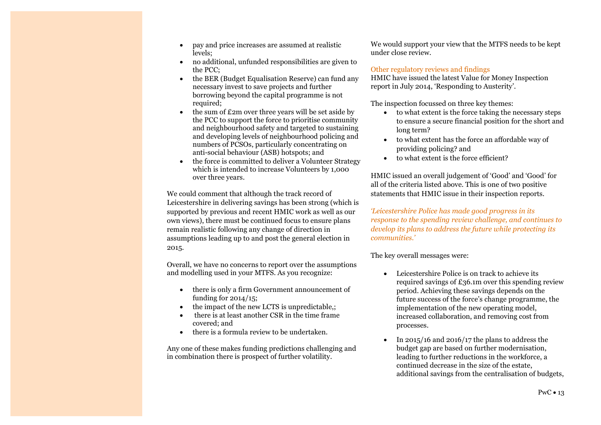- pay and price increases are assumed at realistic levels;
- no additional, unfunded responsibilities are given to the PCC;
- the BER (Budget Equalisation Reserve) can fund any necessary invest to save projects and further borrowing beyond the capital programme is not required;
- $\bullet$  the sum of £2m over three years will be set aside by the PCC to support the force to prioritise community and neighbourhood safety and targeted to sustaining and developing levels of neighbourhood policing and numbers of PCSOs, particularly concentrating on anti-social behaviour (ASB) hotspots; and
- the force is committed to deliver a Volunteer Strategy which is intended to increase Volunteers by 1,000 over three years.

We could comment that although the track record of Leicestershire in delivering savings has been strong (which is supported by previous and recent HMIC work as well as our own views), there must be continued focus to ensure plans remain realistic following any change of direction in assumptions leading up to and post the general election in 2015.

Overall, we have no concerns to report over the assumptions and modelling used in your MTFS. As you recognize:

- there is only a firm Government announcement of funding for 2014/15;
- the impact of the new LCTS is unpredictable,;
- there is at least another CSR in the time frame covered; and
- there is a formula review to be undertaken.

Any one of these makes funding predictions challenging and in combination there is prospect of further volatility.

We would support your view that the MTFS needs to be kept under close review.

#### Other regulatory reviews and findings

HMIC have issued the latest Value for Money Inspection report in July 2014, 'Responding to Austerity'.

The inspection focussed on three key themes:

- to what extent is the force taking the necessary steps to ensure a secure financial position for the short and long term?
- to what extent has the force an affordable way of providing policing? and
- to what extent is the force efficient?

HMIC issued an overall judgement of 'Good' and 'Good' for all of the criteria listed above. This is one of two positive statements that HMIC issue in their inspection reports.

*'Leicestershire Police has made good progress in its response to the spending review challenge, and continues to develop its plans to address the future while protecting its communities.'*

The key overall messages were:

- Leicestershire Police is on track to achieve its required savings of £36.1m over this spending review period. Achieving these savings depends on the future success of the force's change programme, the implementation of the new operating model, increased collaboration, and removing cost from processes.
- $\cdot$  In 2015/16 and 2016/17 the plans to address the budget gap are based on further modernisation, leading to further reductions in the workforce, a continued decrease in the size of the estate, additional savings from the centralisation of budgets,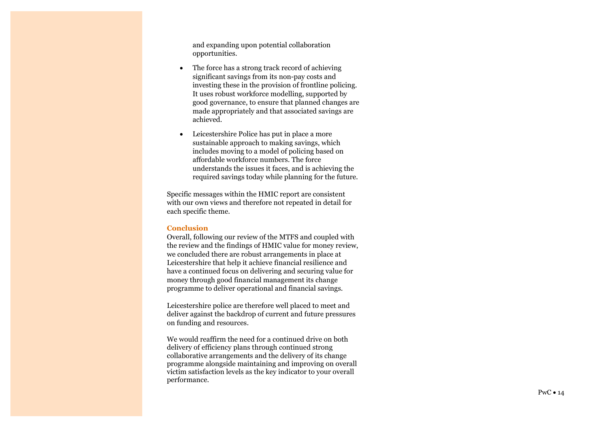and expanding upon potential collaboration opportunities.

- The force has a strong track record of achieving significant savings from its non-pay costs and investing these in the provision of frontline policing. It uses robust workforce modelling, supported by good governance, to ensure that planned changes are made appropriately and that associated savings are achieved.
- Leicestershire Police has put in place a more sustainable approach to making savings, which includes moving to a model of policing based on affordable workforce numbers. The force understands the issues it faces, and is achieving the required savings today while planning for the future.

Specific messages within the HMIC report are consistent with our own views and therefore not repeated in detail for each specific theme.

#### **Conclusion**

Overall, following our review of the MTFS and coupled with the review and the findings of HMIC value for money review, we concluded there are robust arrangements in place at Leicestershire that help it achieve financial resilience and have a continued focus on delivering and securing value for money through good financial management its change programme to deliver operational and financial savings.

Leicestershire police are therefore well placed to meet and deliver against the backdrop of current and future pressures on funding and resources.

We would reaffirm the need for a continued drive on both delivery of efficiency plans through continued strong collaborative arrangements and the delivery of its change programme alongside maintaining and improving on overall victim satisfaction levels as the key indicator to your overall performance.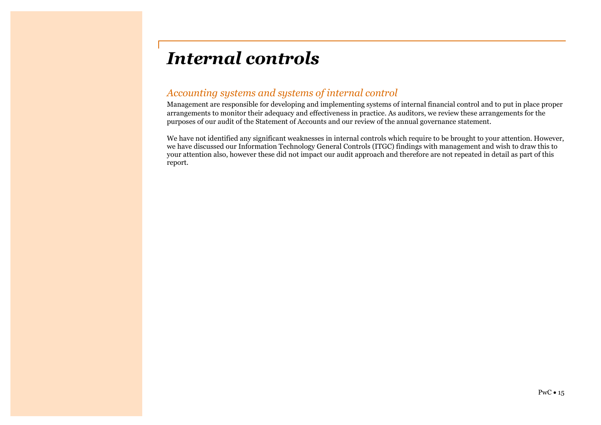## *Internal controls*

## *Accounting systems and systems of internal control*

Management are responsible for developing and implementing systems of internal financial control and to put in place proper arrangements to monitor their adequacy and effectiveness in practice. As auditors, we review these arrangements for the purposes of our audit of the Statement of Accounts and our review of the annual governance statement.

We have not identified any significant weaknesses in internal controls which require to be brought to your attention. However, we have discussed our Information Technology General Controls (ITGC) findings with management and wish to draw this to your attention also, however these did not impact our audit approach and therefore are not repeated in detail as part of this report.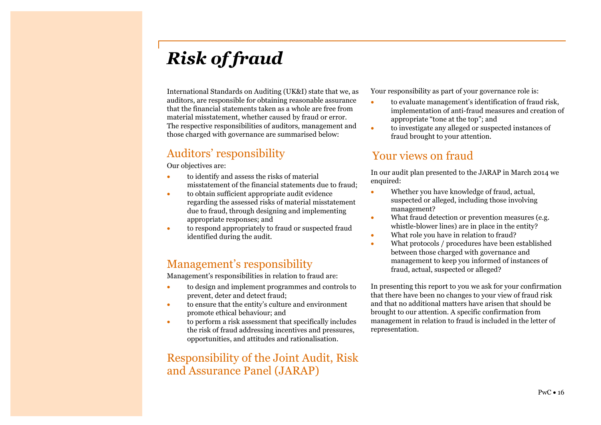## *Risk of fraud*

International Standards on Auditing (UK&I) state that we, as auditors, are responsible for obtaining reasonable assurance that the financial statements taken as a whole are free from material misstatement, whether caused by fraud or error. The respective responsibilities of auditors, management and those charged with governance are summarised below:

## Auditors' responsibility

Our objectives are:

- to identify and assess the risks of material misstatement of the financial statements due to fraud;
- to obtain sufficient appropriate audit evidence regarding the assessed risks of material misstatement due to fraud, through designing and implementing appropriate responses; and
- to respond appropriately to fraud or suspected fraud identified during the audit.

## Management's responsibility

Management's responsibilities in relation to fraud are:

- to design and implement programmes and controls to prevent, deter and detect fraud;
- to ensure that the entity's culture and environment promote ethical behaviour; and
- to perform a risk assessment that specifically includes the risk of fraud addressing incentives and pressures, opportunities, and attitudes and rationalisation.

## Responsibility of the Joint Audit, Risk and Assurance Panel (JARAP)

Your responsibility as part of your governance role is:

- to evaluate management's identification of fraud risk, implementation of anti-fraud measures and creation of appropriate "tone at the top"; and
- to investigate any alleged or suspected instances of fraud brought to your attention.

## Your views on fraud

In our audit plan presented to the JARAP in March 2014 we enquired:

- Whether you have knowledge of fraud, actual, suspected or alleged, including those involving management?
- What fraud detection or prevention measures (e.g. whistle-blower lines) are in place in the entity?
- What role you have in relation to fraud?
- What protocols / procedures have been established between those charged with governance and management to keep you informed of instances of fraud, actual, suspected or alleged?

In presenting this report to you we ask for your confirmation that there have been no changes to your view of fraud risk and that no additional matters have arisen that should be brought to our attention. A specific confirmation from management in relation to fraud is included in the letter of representation.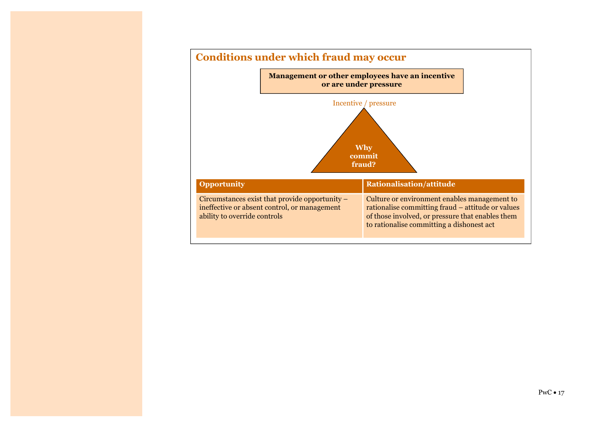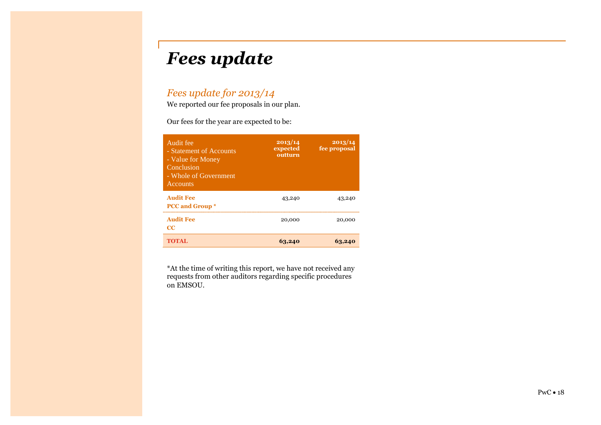## *Fees update*

## *Fees update for 2013/14*

We reported our fee proposals in our plan.

Our fees for the year are expected to be:

| Audit fee<br>- Statement of Accounts<br>- Value for Money<br>Conclusion<br>- Whole of Government<br><b>Accounts</b> | 2013/14<br>expected<br>outturn | 2013/14<br>fee proposal |
|---------------------------------------------------------------------------------------------------------------------|--------------------------------|-------------------------|
| <b>Audit Fee</b><br><b>PCC</b> and Group *                                                                          | 43,240                         | 43,240                  |
| <b>Audit Fee</b><br>$_{\rm CC}$                                                                                     | 20,000                         | 20,000                  |
| TOTAL.                                                                                                              | 63,240                         |                         |

\*At the time of writing this report, we have not received any requests from other auditors regarding specific procedures on EMSOU.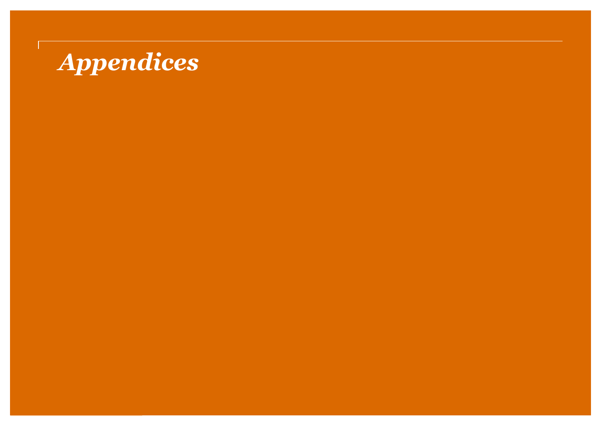# *Appendices*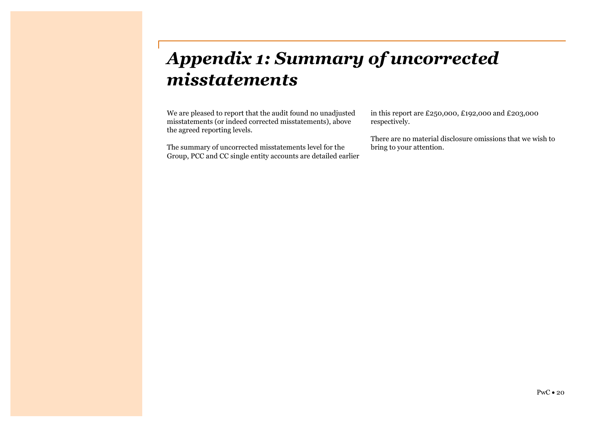## *Appendix 1: Summary of uncorrected misstatements*

We are pleased to report that the audit found no unadjusted misstatements (or indeed corrected misstatements), above the agreed reporting levels.

The summary of uncorrected misstatements level for the Group, PCC and CC single entity accounts are detailed earlier in this report are £250,000, £192,000 and £203,000 respectively.

There are no material disclosure omissions that we wish to bring to your attention.